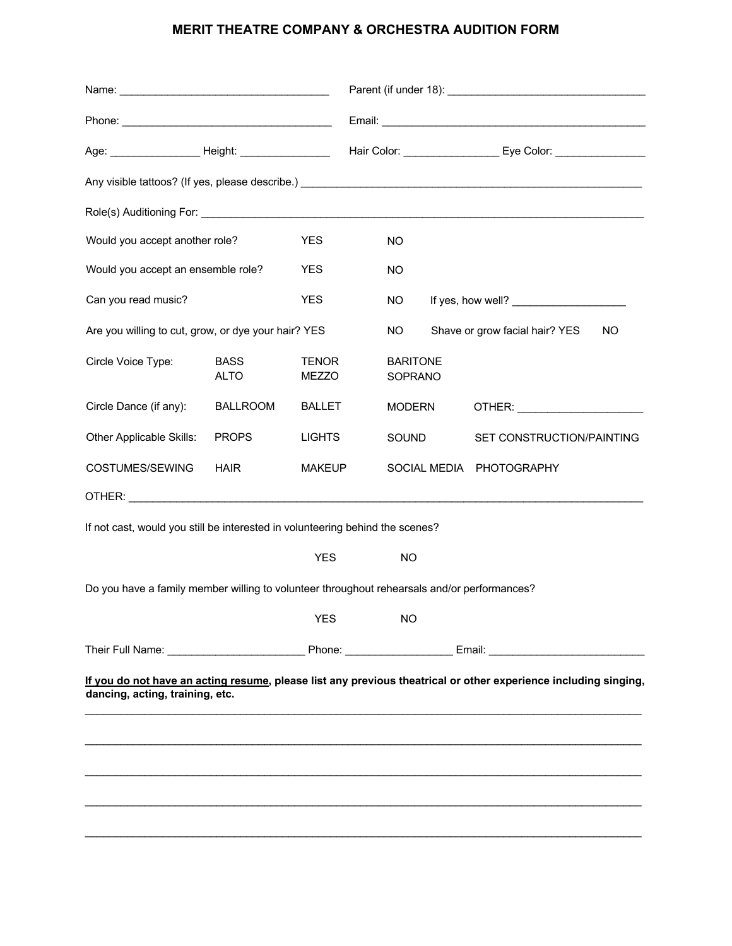## **MERIT THEATRE COMPANY & ORCHESTRA AUDITION FORM**

|                                    |                              |                                                     |                                                 | Age: ___________________Height: _________________  Hair Color: __________________ Eye Color: ________________                                                                                                                                                                                             |
|------------------------------------|------------------------------|-----------------------------------------------------|-------------------------------------------------|-----------------------------------------------------------------------------------------------------------------------------------------------------------------------------------------------------------------------------------------------------------------------------------------------------------|
|                                    |                              |                                                     |                                                 |                                                                                                                                                                                                                                                                                                           |
|                                    |                              |                                                     |                                                 |                                                                                                                                                                                                                                                                                                           |
| Would you accept another role?     | <b>YES</b>                   |                                                     | NO                                              |                                                                                                                                                                                                                                                                                                           |
| Would you accept an ensemble role? | <b>YES</b>                   |                                                     | NO                                              |                                                                                                                                                                                                                                                                                                           |
|                                    | <b>YES</b>                   |                                                     | NO.                                             | If yes, how well?                                                                                                                                                                                                                                                                                         |
|                                    |                              |                                                     | NO.                                             | Shave or grow facial hair? YES<br>NO.                                                                                                                                                                                                                                                                     |
| <b>BASS</b><br><b>ALTO</b>         | <b>TENOR</b><br><b>MEZZO</b> |                                                     | <b>BARITONE</b><br>SOPRANO                      |                                                                                                                                                                                                                                                                                                           |
| <b>BALLROOM</b>                    |                              |                                                     | <b>MODERN</b>                                   | OTHER: ________________________                                                                                                                                                                                                                                                                           |
| <b>PROPS</b>                       |                              |                                                     | SOUND                                           | SET CONSTRUCTION/PAINTING                                                                                                                                                                                                                                                                                 |
| <b>HAIR</b>                        |                              |                                                     |                                                 | SOCIAL MEDIA PHOTOGRAPHY                                                                                                                                                                                                                                                                                  |
|                                    |                              |                                                     |                                                 |                                                                                                                                                                                                                                                                                                           |
|                                    |                              |                                                     |                                                 |                                                                                                                                                                                                                                                                                                           |
|                                    | <b>YES</b>                   |                                                     | <b>NO</b>                                       |                                                                                                                                                                                                                                                                                                           |
|                                    |                              |                                                     |                                                 |                                                                                                                                                                                                                                                                                                           |
|                                    |                              |                                                     |                                                 |                                                                                                                                                                                                                                                                                                           |
|                                    |                              |                                                     |                                                 | Their Full Name: <u>Communications of the Phone:</u> Communications of the Email: Communications of the Email:                                                                                                                                                                                            |
|                                    |                              |                                                     |                                                 |                                                                                                                                                                                                                                                                                                           |
| dancing, acting, training, etc.    |                              |                                                     |                                                 |                                                                                                                                                                                                                                                                                                           |
|                                    |                              |                                                     |                                                 |                                                                                                                                                                                                                                                                                                           |
|                                    |                              |                                                     |                                                 |                                                                                                                                                                                                                                                                                                           |
|                                    |                              |                                                     |                                                 |                                                                                                                                                                                                                                                                                                           |
|                                    |                              |                                                     |                                                 |                                                                                                                                                                                                                                                                                                           |
|                                    |                              |                                                     |                                                 |                                                                                                                                                                                                                                                                                                           |
|                                    |                              |                                                     |                                                 |                                                                                                                                                                                                                                                                                                           |
|                                    |                              | Are you willing to cut, grow, or dye your hair? YES | <b>BALLET</b><br><b>LIGHTS</b><br><b>MAKEUP</b> | If not cast, would you still be interested in volunteering behind the scenes?<br>Do you have a family member willing to volunteer throughout rehearsals and/or performances?<br>YES NO<br>If you do not have an acting resume, please list any previous theatrical or other experience including singing, |